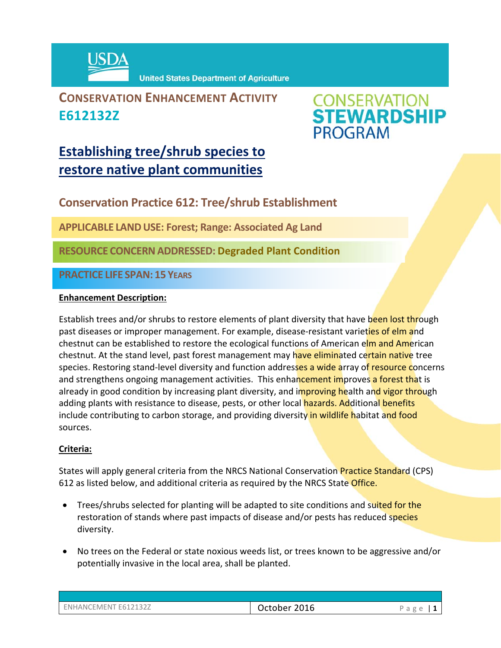

**United States Department of Agriculture** 

## **CONSERVATION ENHANCEMENT ACTIVITY E612132Z**



# **Establishing tree/shrub species to restore native plant communities**

**Conservation Practice 612: Tree/shrub Establishment** 

**APPLICABLE LANDUSE: Forest; Range: Associated Ag Land**

**RESOURCE CONCERNADDRESSED: Degraded Plant Condition**

**PRACTICE LIFE SPAN: 15 YEARS**

#### **Enhancement Description:**

Establish trees and/or shrubs to restore elements of plant diversity that have been lost through past diseases or improper management. For example, disease-resistant varieties of elm and chestnut can be established to restore the ecological functions of American elm and American chestnut. At the stand level, past forest management may have eliminated certain native tree species. Restoring stand-level diversity and function addresses a wide array of resource concerns and strengthens ongoing management activities. This enhancement improves a forest that is already in good condition by increasing plant diversity, and improving health and vigor through adding plants with resistance to disease, pests, or other local hazards. Additional benefits include contributing to carbon storage, and providing diversity in wildlife habitat and food sources.

### **Criteria:**

States will apply general criteria from the NRCS National Conservation **Practice Standard** (CPS) 612 as listed below, and additional criteria as required by the NRCS State Office.

- Trees/shrubs selected for planting will be adapted to site conditions and suited for the restoration of stands where past impacts of disease and/or pests has reduced species diversity.
- No trees on the Federal or state noxious weeds list, or trees known to be aggressive and/or potentially invasive in the local area, shall be planted.

| <b>ENHANCEMENT E612132Z</b> |  |
|-----------------------------|--|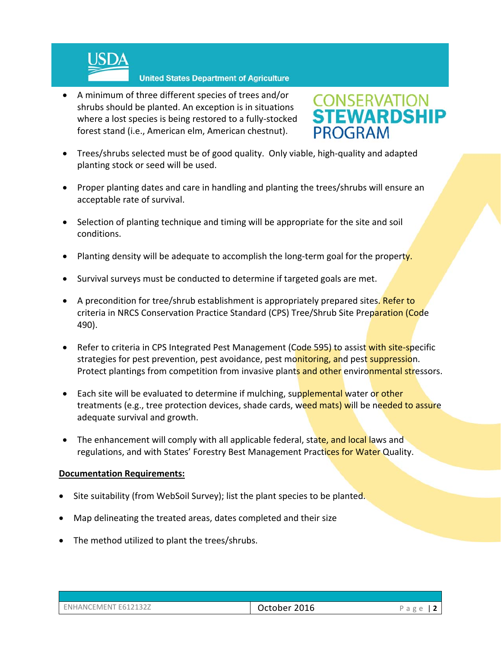

 A minimum of three different species of trees and/or shrubs should be planted. An exception is in situations where a lost species is being restored to a fully‐stocked forest stand (i.e., American elm, American chestnut).



- Trees/shrubs selected must be of good quality. Only viable, high-quality and adapted planting stock or seed will be used.
- Proper planting dates and care in handling and planting the trees/shrubs will ensure an acceptable rate of survival.
- Selection of planting technique and timing will be appropriate for the site and soil conditions.
- Planting density will be adequate to accomplish the long-term goal for the property.
- Survival surveys must be conducted to determine if targeted goals are met.
- A precondition for tree/shrub establishment is appropriately prepared sites. Refer to criteria in NRCS Conservation Practice Standard (CPS) Tree/Shrub Site Preparation (Code 490).
- Refer to criteria in CPS Integrated Pest Management (Code 595) to assist with site-specific strategies for pest prevention, pest avoidance, pest monitoring, and pest suppression. Protect plantings from competition from invasive plants and other environmental stressors.
- Each site will be evaluated to determine if mulching, supplemental water or other treatments (e.g., tree protection devices, shade cards, weed mats) will be needed to assure adequate survival and growth.
- The enhancement will comply with all applicable federal, state, and local laws and regulations, and with States' Forestry Best Management Practices for Water Quality.

#### **Documentation Requirements:**

- Site suitability (from WebSoil Survey); list the plant species to be planted.
- Map delineating the treated areas, dates completed and their size
- The method utilized to plant the trees/shrubs.

| ENHANCEMENT E612132Z |  |
|----------------------|--|
|                      |  |